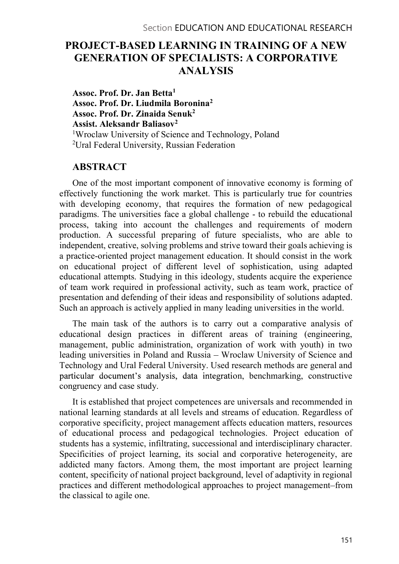# PROJECT-BASED LEARNING IN TRAINING OF A NEW GENERATION OF SPECIALISTS: A CORPORATIVE ANALYSIS

Assoc. Prof. Dr. Jan Betta1 Assoc. Prof. Dr. Liudmila Boronina2 Assoc. Prof. Dr. Zinaida Senuk2 Assist. Aleksandr Baliasov2 1Wroclaw University of Science and Technology, Poland 2Ural Federal University, Russian Federation

### ABSTRACT

One of the most important component of innovative economy is forming of effectively functioning the work market. This is particularly true for countries with developing economy, that requires the formation of new pedagogical paradigms. The universities face a global challenge - to rebuild the educational process, taking into account the challenges and requirements of modern production. A successful preparing of future specialists, who are able to independent, creative, solving problems and strive toward their goals achieving is a practice-oriented project management education. It should consist in the work on educational project of different level of sophistication, using adapted educational attempts. Studying in this ideology, students acquire the experience of team work required in professional activity, such as team work, practice of presentation and defending of their ideas and responsibility of solutions adapted. Such an approach is actively applied in many leading universities in the world.

The main task of the authors is to carry out a comparative analysis of educational design practices in different areas of training (engineering, management, public administration, organization of work with youth) in two leading universities in Poland and Russia – Wroclaw University of Science and Technology and Ural Federal University. Used research methods are general and particular document's analysis, data integration, benchmarking, constructive congruency and case study.

It is established that project competences are universals and recommended in national learning standards at all levels and streams of education. Regardless of corporative specificity, project management affects education matters, resources of educational process and pedagogical technologies. Project education of students has a systemic, infiltrating, successional and interdisciplinary character. Specificities of project learning, its social and corporative heterogeneity, are addicted many factors. Among them, the most important are project learning content, specificity of national project background, level of adaptivity in regional practices and different methodological approaches to project management–from the classical to agile one.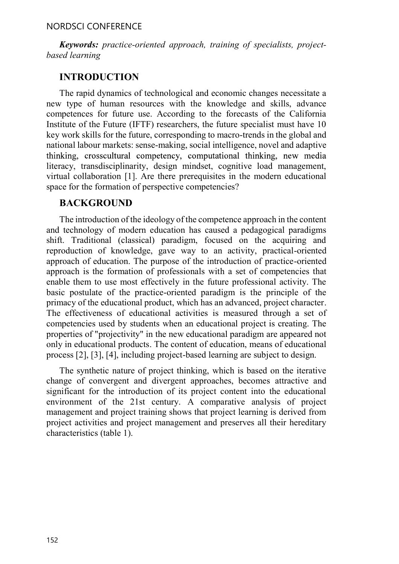Keywords: practice-oriented approach, training of specialists, projectbased learning

### INTRODUCTION

The rapid dynamics of technological and economic changes necessitate a new type of human resources with the knowledge and skills, advance competences for future use. According to the forecasts of the California Institute of the Future (IFTF) researchers, the future specialist must have 10 key work skills for the future, corresponding to macro-trends in the global and national labour markets: sense-making, social intelligence, novel and adaptive thinking, crosscultural competency, computational thinking, new media literacy, transdisciplinarity, design mindset, cognitive load management, virtual collaboration [1]. Are there prerequisites in the modern educational space for the formation of perspective competencies?

## BACKGROUND

The introduction of the ideology of the competence approach in the content and technology of modern education has caused a pedagogical paradigms shift. Traditional (classical) paradigm, focused on the acquiring and reproduction of knowledge, gave way to an activity, practical-oriented approach of education. The purpose of the introduction of practice-oriented approach is the formation of professionals with a set of competencies that enable them to use most effectively in the future professional activity. The basic postulate of the practice-oriented paradigm is the principle of the primacy of the educational product, which has an advanced, project character. The effectiveness of educational activities is measured through a set of competencies used by students when an educational project is creating. The properties of "projectivity" in the new educational paradigm are appeared not only in educational products. The content of education, means of educational process [2], [3], [4], including project-based learning are subject to design.

The synthetic nature of project thinking, which is based on the iterative change of convergent and divergent approaches, becomes attractive and significant for the introduction of its project content into the educational environment of the 21st century. A comparative analysis of project management and project training shows that project learning is derived from project activities and project management and preserves all their hereditary characteristics (table 1).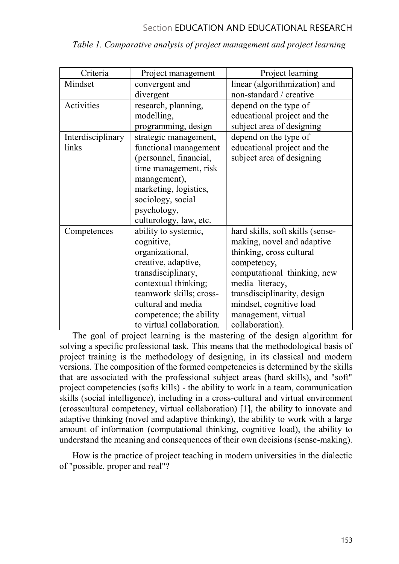| Criteria          | Project management        | Project learning                 |
|-------------------|---------------------------|----------------------------------|
| Mindset           | convergent and            | linear (algorithmization) and    |
|                   | divergent                 | non-standard / creative          |
| Activities        | research, planning,       | depend on the type of            |
|                   | modelling,                | educational project and the      |
|                   | programming, design       | subject area of designing        |
| Interdisciplinary | strategic management,     | depend on the type of            |
| links             | functional management     | educational project and the      |
|                   | (personnel, financial,    | subject area of designing        |
|                   | time management, risk     |                                  |
|                   | management),              |                                  |
|                   | marketing, logistics,     |                                  |
|                   | sociology, social         |                                  |
|                   | psychology,               |                                  |
|                   | culturology, law, etc.    |                                  |
| Competences       | ability to systemic,      | hard skills, soft skills (sense- |
|                   | cognitive,                | making, novel and adaptive       |
|                   | organizational,           | thinking, cross cultural         |
|                   | creative, adaptive,       | competency,                      |
|                   | transdisciplinary,        | computational thinking, new      |
|                   | contextual thinking;      | media literacy,                  |
|                   | teamwork skills; cross-   | transdisciplinarity, design      |
|                   | cultural and media        | mindset, cognitive load          |
|                   | competence; the ability   | management, virtual              |
|                   | to virtual collaboration. | collaboration).                  |

Table 1. Comparative analysis of project management and project learning

The goal of project learning is the mastering of the design algorithm for solving a specific professional task. This means that the methodological basis of project training is the methodology of designing, in its classical and modern versions. The composition of the formed competencies is determined by the skills that are associated with the professional subject areas (hard skills), and "soft" project competencies (softs kills) - the ability to work in a team, communication skills (social intelligence), including in a cross-cultural and virtual environment (crosscultural competency, virtual collaboration) [1], the ability to innovate and adaptive thinking (novel and adaptive thinking), the ability to work with a large amount of information (computational thinking, cognitive load), the ability to understand the meaning and consequences of their own decisions (sense-making).

How is the practice of project teaching in modern universities in the dialectic of "possible, proper and real"?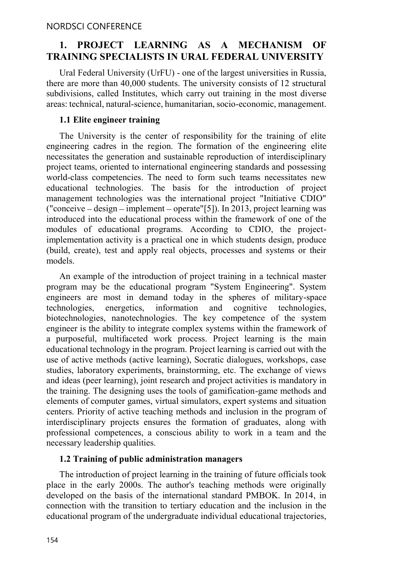# 1. PROJECT LEARNING AS A MECHANISM OF TRAINING SPECIALISTS IN URAL FEDERAL UNIVERSITY

Ural Federal University (UrFU) - one of the largest universities in Russia, there are more than 40,000 students. The university consists of 12 structural subdivisions, called Institutes, which carry out training in the most diverse areas: technical, natural-science, humanitarian, socio-economic, management.

#### 1.1 Elite engineer training

The University is the center of responsibility for the training of elite engineering cadres in the region. The formation of the engineering elite necessitates the generation and sustainable reproduction of interdisciplinary project teams, oriented to international engineering standards and possessing world-class competencies. The need to form such teams necessitates new educational technologies. The basis for the introduction of project management technologies was the international project "Initiative CDIO" ("conceive  $-$  design  $-$  implement  $-$  operate"[5]). In 2013, project learning was introduced into the educational process within the framework of one of the modules of educational programs. According to CDIO, the projectimplementation activity is a practical one in which students design, produce (build, create), test and apply real objects, processes and systems or their models.

An example of the introduction of project training in a technical master program may be the educational program "System Engineering". System engineers are most in demand today in the spheres of military-space technologies, energetics, information and cognitive technologies, biotechnologies, nanotechnologies. The key competence of the system engineer is the ability to integrate complex systems within the framework of a purposeful, multifaceted work process. Project learning is the main educational technology in the program. Project learning is carried out with the use of active methods (active learning), Socratic dialogues, workshops, case studies, laboratory experiments, brainstorming, etc. The exchange of views and ideas (peer learning), joint research and project activities is mandatory in the training. The designing uses the tools of gamification-game methods and elements of computer games, virtual simulators, expert systems and situation centers. Priority of active teaching methods and inclusion in the program of interdisciplinary projects ensures the formation of graduates, along with professional competences, a conscious ability to work in a team and the necessary leadership qualities.

#### 1.2 Training of public administration managers

The introduction of project learning in the training of future officials took place in the early 2000s. The author's teaching methods were originally developed on the basis of the international standard PMBOK. In 2014, in connection with the transition to tertiary education and the inclusion in the educational program of the undergraduate individual educational trajectories,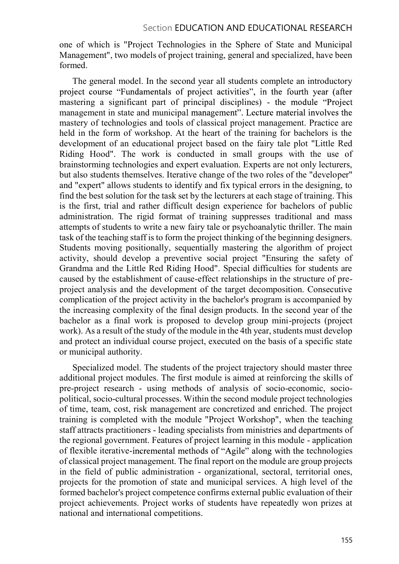one of which is "Project Technologies in the Sphere of State and Municipal Management", two models of project training, general and specialized, have been formed.

The general model. In the second year all students complete an introductory project course "Fundamentals of project activities", in the fourth year (after mastering a significant part of principal disciplines) - the module "Project" management in state and municipal management". Lecture material involves the mastery of technologies and tools of classical project management. Practice are held in the form of workshop. At the heart of the training for bachelors is the development of an educational project based on the fairy tale plot "Little Red Riding Hood". The work is conducted in small groups with the use of brainstorming technologies and expert evaluation. Experts are not only lecturers, but also students themselves. Iterative change of the two roles of the "developer" and "expert" allows students to identify and fix typical errors in the designing, to find the best solution for the task set by the lecturers at each stage of training. This is the first, trial and rather difficult design experience for bachelors of public administration. The rigid format of training suppresses traditional and mass attempts of students to write a new fairy tale or psychoanalytic thriller. The main task of the teaching staff is to form the project thinking of the beginning designers. Students moving positionally, sequentially mastering the algorithm of project activity, should develop a preventive social project "Ensuring the safety of Grandma and the Little Red Riding Hood". Special difficulties for students are caused by the establishment of cause-effect relationships in the structure of preproject analysis and the development of the target decomposition. Consecutive complication of the project activity in the bachelor's program is accompanied by the increasing complexity of the final design products. In the second year of the bachelor as a final work is proposed to develop group mini-projects (project work). As a result of the study of the module in the 4th year, students must develop and protect an individual course project, executed on the basis of a specific state or municipal authority.

Specialized model. The students of the project trajectory should master three additional project modules. The first module is aimed at reinforcing the skills of pre-project research - using methods of analysis of socio-economic, sociopolitical, socio-cultural processes. Within the second module project technologies of time, team, cost, risk management are concretized and enriched. The project training is completed with the module "Project Workshop", when the teaching staff attracts practitioners - leading specialists from ministries and departments of the regional government. Features of project learning in this module - application of flexible iterative-incremental methods of "Agile" along with the technologies of classical project management. The final report on the module are group projects in the field of public administration - organizational, sectoral, territorial ones, projects for the promotion of state and municipal services. A high level of the formed bachelor's project competence confirms external public evaluation of their project achievements. Project works of students have repeatedly won prizes at national and international competitions.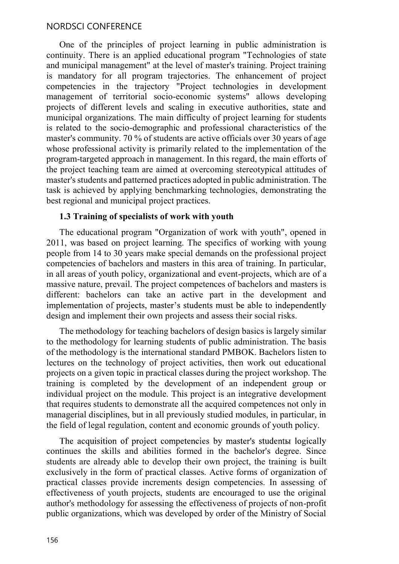One of the principles of project learning in public administration is continuity. There is an applied educational program "Technologies of state and municipal management" at the level of master's training. Project training is mandatory for all program trajectories. The enhancement of project competencies in the trajectory "Project technologies in development management of territorial socio-economic systems" allows developing projects of different levels and scaling in executive authorities, state and municipal organizations. The main difficulty of project learning for students is related to the socio-demographic and professional characteristics of the master's community. 70 % of students are active officials over 30 years of age whose professional activity is primarily related to the implementation of the program-targeted approach in management. In this regard, the main efforts of the project teaching team are aimed at overcoming stereotypical attitudes of master's students and patterned practices adopted in public administration. The task is achieved by applying benchmarking technologies, demonstrating the best regional and municipal project practices.

#### 1.3 Training of specialists of work with youth

The educational program "Organization of work with youth", opened in 2011, was based on project learning. The specifics of working with young people from 14 to 30 years make special demands on the professional project competencies of bachelors and masters in this area of training. In particular, in all areas of youth policy, organizational and event-projects, which are of a massive nature, prevail. The project competences of bachelors and masters is different: bachelors can take an active part in the development and implementation of projects, master's students must be able to independently design and implement their own projects and assess their social risks.

The methodology for teaching bachelors of design basics is largely similar to the methodology for learning students of public administration. The basis of the methodology is the international standard PMBOK. Bachelors listen to lectures on the technology of project activities, then work out educational projects on a given topic in practical classes during the project workshop. The training is completed by the development of an independent group or individual project on the module. This project is an integrative development that requires students to demonstrate all the acquired competences not only in managerial disciplines, but in all previously studied modules, in particular, in the field of legal regulation, content and economic grounds of youth policy.

The acquisition of project competencies by master's student alogically continues the skills and abilities formed in the bachelor's degree. Since students are already able to develop their own project, the training is built exclusively in the form of practical classes. Active forms of organization of practical classes provide increments design competencies. In assessing of effectiveness of youth projects, students are encouraged to use the original author's methodology for assessing the effectiveness of projects of non-profit public organizations, which was developed by order of the Ministry of Social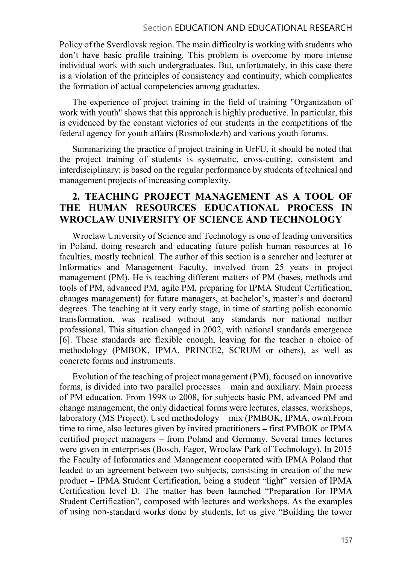Policy of the Sverdlovsk region. The main difficulty is working with students who don't have basic profile training. This problem is overcome by more intense individual work with such undergraduates. But, unfortunately, in this case there is a violation of the principles of consistency and continuity, which complicates the formation of actual competencies among graduates.

The experience of project training in the field of training "Organization of work with youth" shows that this approach is highly productive. In particular, this is evidenced by the constant victories of our students in the competitions of the federal agency for youth affairs (Rosmolodezh) and various youth forums.

Summarizing the practice of project training in UrFU, it should be noted that the project training of students is systematic, cross-cutting, consistent and interdisciplinary; is based on the regular performance by students of technical and management projects of increasing complexity.

# 2. TEACHING PROJECT MANAGEMENT AS A TOOL OF THE HUMAN RESOURCES EDUCATIONAL PROCESS IN WROCLAW UNIVERSITY OF SCIENCE AND TECHNOLOGY

Wroclaw University of Science and Technology is one of leading universities in Poland, doing research and educating future polish human resources at 16 faculties, mostly technical. The author of this section is a searcher and lecturer at Informatics and Management Faculty, involved from 25 years in project management (PM). He is teaching different matters of PM (bases, methods and tools of PM, advanced PM, agile PM, preparing for IPMA Student Certification, changes management) for future managers, at bachelor's, master's and doctoral degrees. The teaching at it very early stage, in time of starting polish economic transformation, was realised without any standards nor national neither professional. This situation changed in 2002, with national standards emergence [6]. These standards are flexible enough, leaving for the teacher a choice of methodology (PMBOK, IPMA, PRINCE2, SCRUM or others), as well as concrete forms and instruments.

Evolution of the teaching of project management (PM), focused on innovative forms, is divided into two parallel processes – main and auxiliary. Main process of PM education. From 1998 to 2008, for subjects basic PM, advanced PM and change management, the only didactical forms were lectures, classes, workshops, laboratory (MS Project). Used methodology – mix (PMBOK, IPMA, own). From time to time, also lectures given by invited practitioners – first PMBOK or IPMA certified project managers - from Poland and Germany. Several times lectures were given in enterprises (Bosch, Fagor, Wroclaw Park of Technology). In 2015 the Faculty of Informatics and Management cooperated with IPMA Poland that leaded to an agreement between two subjects, consisting in creation of the new product – IPMA Student Certification, being a student "light" version of IPMA Certification level D. The matter has been launched "Preparation for IPMA Student Certification", composed with lectures and workshops. As the examples of using non-standard works done by students, let us give "Building the tower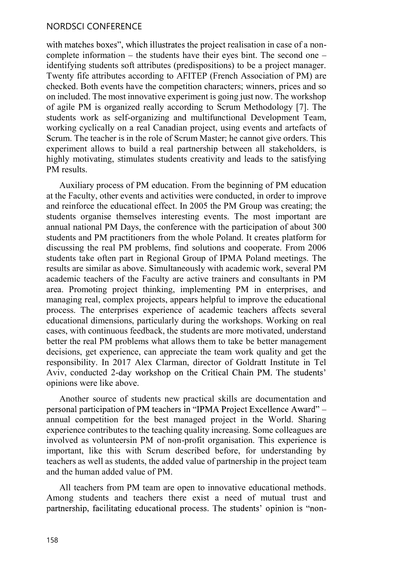with matches boxes", which illustrates the project realisation in case of a noncomplete information  $-$  the students have their eyes bint. The second one  $$ identifying students soft attributes (predispositions) to be a project manager. Twenty fife attributes according to AFITEP (French Association of PM) are checked. Both events have the competition characters; winners, prices and so on included. The most innovative experiment is going just now. The workshop of agile PM is organized really according to Scrum Methodology [7]. The students work as self-organizing and multifunctional Development Team, working cyclically on a real Canadian project, using events and artefacts of Scrum. The teacher is in the role of Scrum Master; he cannot give orders. This experiment allows to build a real partnership between all stakeholders, is highly motivating, stimulates students creativity and leads to the satisfying PM results.

Auxiliary process of PM education. From the beginning of PM education at the Faculty, other events and activities were conducted, in order to improve and reinforce the educational effect. In 2005 the PM Group was creating; the students organise themselves interesting events. The most important are annual national PM Days, the conference with the participation of about 300 students and PM practitioners from the whole Poland. It creates platform for discussing the real PM problems, find solutions and cooperate. From 2006 students take often part in Regional Group of IPMA Poland meetings. The results are similar as above. Simultaneously with academic work, several PM academic teachers of the Faculty are active trainers and consultants in PM area. Promoting project thinking, implementing PM in enterprises, and managing real, complex projects, appears helpful to improve the educational process. The enterprises experience of academic teachers affects several educational dimensions, particularly during the workshops. Working on real cases, with continuous feedback, the students are more motivated, understand better the real PM problems what allows them to take be better management decisions, get experience, can appreciate the team work quality and get the responsibility. In 2017 Alex Clarman, director of Goldratt Institute in Tel Aviv, conducted 2-day workshop on the Critical Chain PM. The students' opinions were like above.

Another source of students new practical skills are documentation and personal participation of PM teachers in "IPMA Project Excellence Award" annual competition for the best managed project in the World. Sharing experience contributes to the teaching quality increasing. Some colleagues are involved as volunteersin PM of non-profit organisation. This experience is important, like this with Scrum described before, for understanding by teachers as well as students, the added value of partnership in the project team and the human added value of PM.

All teachers from PM team are open to innovative educational methods. Among students and teachers there exist a need of mutual trust and partnership, facilitating educational process. The students' opinion is "non-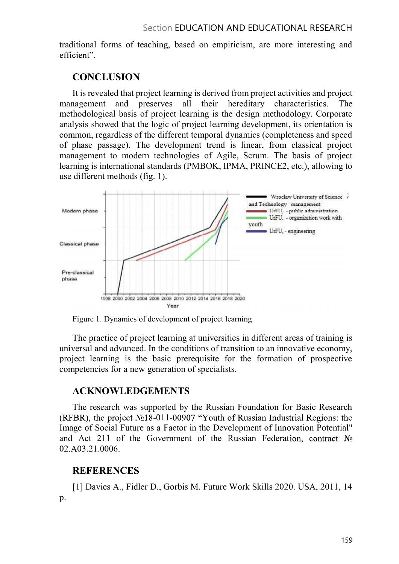traditional forms of teaching, based on empiricism, are more interesting and efficient".

## **CONCLUSION**

It is revealed that project learning is derived from project activities and project management and preserves all their hereditary characteristics. The methodological basis of project learning is the design methodology. Corporate analysis showed that the logic of project learning development, its orientation is common, regardless of the different temporal dynamics (completeness and speed of phase passage). The development trend is linear, from classical project management to modern technologies of Agile, Scrum. The basis of project learning is international standards (PMBOK, IPMA, PRINCE2, etc.), allowing to use different methods (fig. 1).



Figure 1. Dynamics of development of project learning

The practice of project learning at universities in different areas of training is universal and advanced. In the conditions of transition to an innovative economy, project learning is the basic prerequisite for the formation of prospective competencies for a new generation of specialists.

# ACKNOWLEDGEMENTS

The research was supported by the Russian Foundation for Basic Research (RFBR), the project  $N<sub>2</sub>18-011-00907$  "Youth of Russian Industrial Regions: the Image of Social Future as a Factor in the Development of Innovation Potential" and Act 211 of the Government of the Russian Federation, contract  $N_2$ 02.A03.21.0006.

# REFERENCES

[1] Davies A., Fidler D., Gorbis M. Future Work Skills 2020. USA, 2011, 14 p.